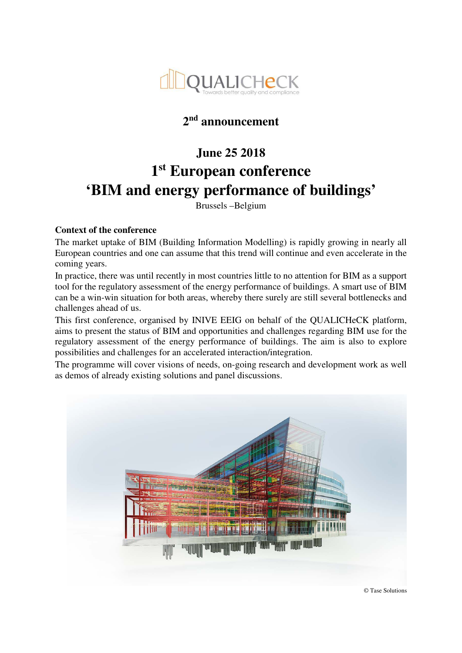

# **2 nd announcement**

# **June 25 2018 1 st European conference 'BIM and energy performance of buildings'**

Brussels –Belgium

# **Context of the conference**

The market uptake of BIM (Building Information Modelling) is rapidly growing in nearly all European countries and one can assume that this trend will continue and even accelerate in the coming years.

In practice, there was until recently in most countries little to no attention for BIM as a support tool for the regulatory assessment of the energy performance of buildings. A smart use of BIM can be a win-win situation for both areas, whereby there surely are still several bottlenecks and challenges ahead of us.

This first conference, organised by INIVE EEIG on behalf of the QUALICHeCK platform, aims to present the status of BIM and opportunities and challenges regarding BIM use for the regulatory assessment of the energy performance of buildings. The aim is also to explore possibilities and challenges for an accelerated interaction/integration.

The programme will cover visions of needs, on-going research and development work as well as demos of already existing solutions and panel discussions.

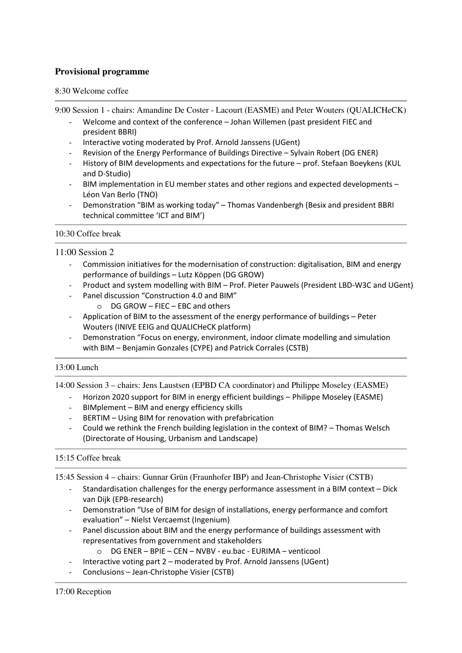# **Provisional programme**

#### 8:30 Welcome coffee

9:00 Session 1 - chairs: Amandine De Coster - Lacourt (EASME) and Peter Wouters (QUALICHeCK)

- Welcome and context of the conference Johan Willemen (past president FIEC and president BBRI)
- Interactive voting moderated by Prof. Arnold Janssens (UGent)
- Revision of the Energy Performance of Buildings Directive Sylvain Robert (DG ENER)
- History of BIM developments and expectations for the future prof. Stefaan Boeykens (KUL and D-Studio)
- BIM implementation in EU member states and other regions and expected developments Léon Van Berlo (TNO)
- Demonstration "BIM as working today" Thomas Vandenbergh (Besix and president BBRI technical committee 'ICT and BIM')

#### 10:30 Coffee break

#### 11:00 Session 2

- Commission initiatives for the modernisation of construction: digitalisation, BIM and energy performance of buildings – Lutz Köppen (DG GROW)
- Product and system modelling with BIM Prof. Pieter Pauwels (President LBD-W3C and UGent)
- Panel discussion "Construction 4.0 and BIM"
	- o DG GROW FIEC EBC and others
- Application of BIM to the assessment of the energy performance of buildings Peter Wouters (INIVE EEIG and QUALICHeCK platform)
- Demonstration "Focus on energy, environment, indoor climate modelling and simulation with BIM – Benjamin Gonzales (CYPE) and Patrick Corrales (CSTB)

#### 13:00 Lunch

14:00 Session 3 – chairs: Jens Laustsen (EPBD CA coordinator) and Philippe Moseley (EASME)

- Horizon 2020 support for BIM in energy efficient buildings Philippe Moseley (EASME)
- BIMplement BIM and energy efficiency skills
- BERTIM Using BIM for renovation with prefabrication
- Could we rethink the French building legislation in the context of BIM? Thomas Welsch (Directorate of Housing, Urbanism and Landscape)

#### 15:15 Coffee break

15:45 Session 4 – chairs: Gunnar Grün (Fraunhofer IBP) and Jean-Christophe Visier (CSTB)

- Standardisation challenges for the energy performance assessment in a BIM context Dick van Dijk (EPB-research)
- Demonstration "Use of BIM for design of installations, energy performance and comfort evaluation" – Nielst Vercaemst (Ingenium)
- Panel discussion about BIM and the energy performance of buildings assessment with representatives from government and stakeholders
	- o DG ENER BPIE CEN NVBV eu.bac EURIMA venticool
- Interactive voting part 2 moderated by Prof. Arnold Janssens (UGent)
- Conclusions Jean-Christophe Visier (CSTB)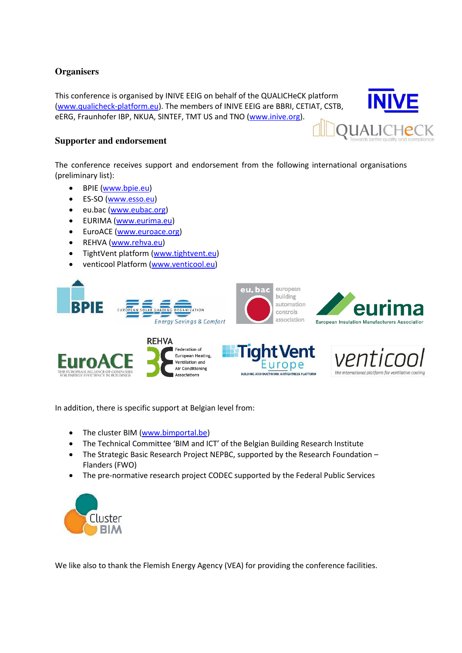# **Organisers**

This conference is organised by INIVE EEIG on behalf of the QUALICHeCK platform [\(www.qualicheck-platform.eu\)](http://www.qualicheck-platform.eu/). The members of INIVE EEIG are BBRI, CETIAT, CSTB, eERG, Fraunhofer IBP, NKUA, SINTEF, TMT US and TNO [\(www.inive.org\)](http://www.inive.org/).

# **Supporter and endorsement**

The conference receives support and endorsement from the following international organisations (preliminary list):

- BPIE [\(www.bpie.eu\)](http://www.bpie.eu/)
- ES-SO [\(www.esso.eu\)](http://www.esso.eu/)
- eu.bac [\(www.eubac.org\)](http://www.eubac.org/)
- EURIMA [\(www.eurima.eu\)](http://www.eurima.eu/)
- EuroACE [\(www.euroace.org\)](http://www.euroace.org/)
- REHVA [\(www.rehva.eu\)](http://www.rehva.eu/)
- TightVent platform [\(www.tightvent.eu\)](http://www.tightvent.eu/)
- venticool Platform [\(www.venticool.eu\)](http://www.venticool.eu/)







In addition, there is specific support at Belgian level from:

- The cluster BIM [\(www.bimportal.be\)](http://www.bimportal.be/)
- The Technical Committee 'BIM and ICT' of the Belgian Building Research Institute
- The Strategic Basic Research Project NEPBC, supported by the Research Foundation Flanders (FWO)
- The pre-normative research project CODEC supported by the Federal Public Services



We like also to thank the Flemish Energy Agency (VEA) for providing the conference facilities.